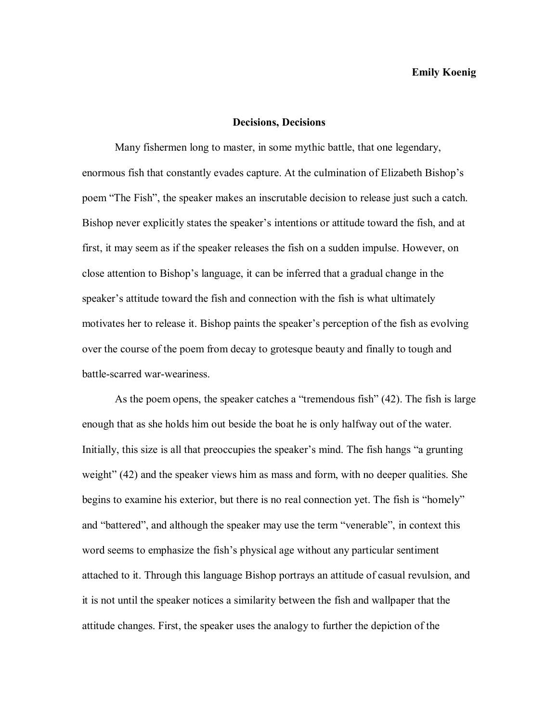## **Emily Koenig**

## **Decisions, Decisions**

Many fishermen long to master, in some mythic battle, that one legendary, enormous fish that constantly evades capture. At the culmination of Elizabeth Bishop's poem "The Fish", the speaker makes an inscrutable decision to release just such a catch. Bishop never explicitly states the speaker's intentions or attitude toward the fish, and at first, it may seem as if the speaker releases the fish on a sudden impulse. However, on close attention to Bishop's language, it can be inferred that a gradual change in the speaker's attitude toward the fish and connection with the fish is what ultimately motivates her to release it. Bishop paints the speaker's perception of the fish as evolving over the course of the poem from decay to grotesque beauty and finally to tough and battle-scarred war-weariness.

As the poem opens, the speaker catches a "tremendous fish" (42). The fish is large enough that as she holds him out beside the boat he is only halfway out of the water. Initially, this size is all that preoccupies the speaker's mind. The fish hangs "a grunting weight" (42) and the speaker views him as mass and form, with no deeper qualities. She begins to examine his exterior, but there is no real connection yet. The fish is "homely" and "battered", and although the speaker may use the term "venerable", in context this word seems to emphasize the fish's physical age without any particular sentiment attached to it. Through this language Bishop portrays an attitude of casual revulsion, and it is not until the speaker notices a similarity between the fish and wallpaper that the attitude changes. First, the speaker uses the analogy to further the depiction of the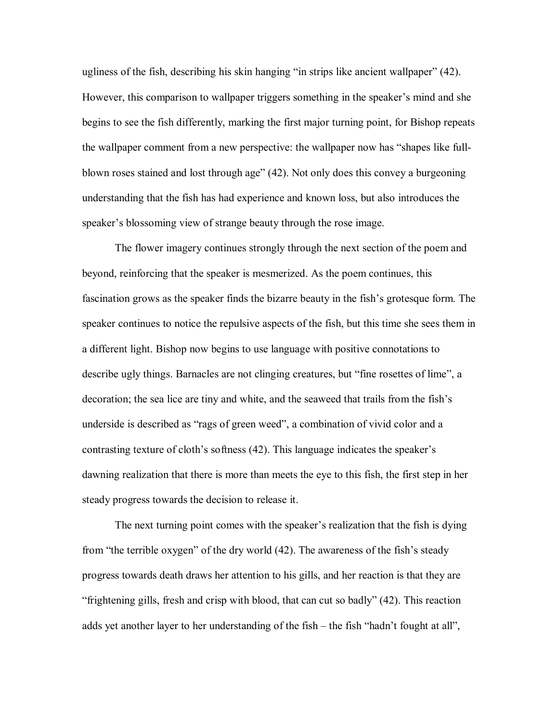ugliness of the fish, describing his skin hanging "in strips like ancient wallpaper" (42). However, this comparison to wallpaper triggers something in the speaker's mind and she begins to see the fish differently, marking the first major turning point, for Bishop repeats the wallpaper comment from a new perspective: the wallpaper now has "shapes like fullblown roses stained and lost through age" (42). Not only does this convey a burgeoning understanding that the fish has had experience and known loss, but also introduces the speaker's blossoming view of strange beauty through the rose image.

The flower imagery continues strongly through the next section of the poem and beyond, reinforcing that the speaker is mesmerized. As the poem continues, this fascination grows as the speaker finds the bizarre beauty in the fish's grotesque form. The speaker continues to notice the repulsive aspects of the fish, but this time she sees them in a different light. Bishop now begins to use language with positive connotations to describe ugly things. Barnacles are not clinging creatures, but "fine rosettes of lime", a decoration; the sea lice are tiny and white, and the seaweed that trails from the fish's underside is described as "rags of green weed", a combination of vivid color and a contrasting texture of cloth's softness (42). This language indicates the speaker's dawning realization that there is more than meets the eye to this fish, the first step in her steady progress towards the decision to release it.

The next turning point comes with the speaker's realization that the fish is dying from "the terrible oxygen" of the dry world (42). The awareness of the fish's steady progress towards death draws her attention to his gills, and her reaction is that they are "frightening gills, fresh and crisp with blood, that can cut so badly" (42). This reaction adds yet another layer to her understanding of the fish – the fish "hadn't fought at all",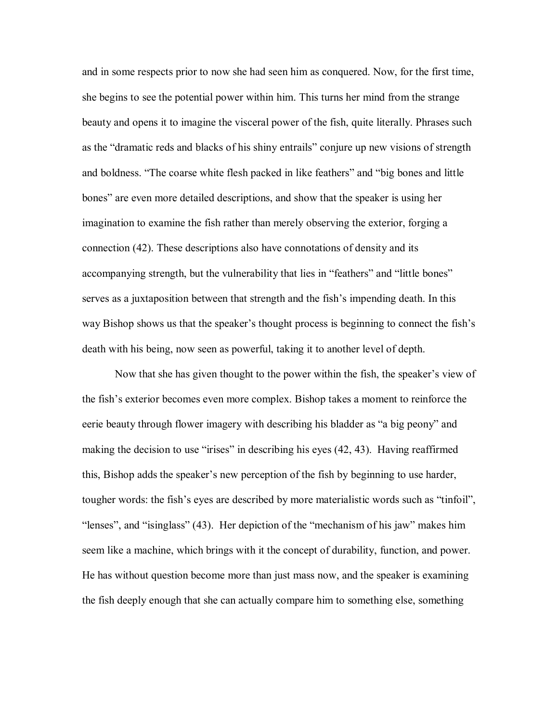and in some respects prior to now she had seen him as conquered. Now, for the first time, she begins to see the potential power within him. This turns her mind from the strange beauty and opens it to imagine the visceral power of the fish, quite literally. Phrases such as the "dramatic reds and blacks of his shiny entrails" conjure up new visions of strength and boldness. "The coarse white flesh packed in like feathers" and "big bones and little bones" are even more detailed descriptions, and show that the speaker is using her imagination to examine the fish rather than merely observing the exterior, forging a connection (42). These descriptions also have connotations of density and its accompanying strength, but the vulnerability that lies in "feathers" and "little bones" serves as a juxtaposition between that strength and the fish's impending death. In this way Bishop shows us that the speaker's thought process is beginning to connect the fish's death with his being, now seen as powerful, taking it to another level of depth.

Now that she has given thought to the power within the fish, the speaker's view of the fish's exterior becomes even more complex. Bishop takes a moment to reinforce the eerie beauty through flower imagery with describing his bladder as "a big peony" and making the decision to use "irises" in describing his eyes (42, 43). Having reaffirmed this, Bishop adds the speaker's new perception of the fish by beginning to use harder, tougher words: the fish's eyes are described by more materialistic words such as "tinfoil", "lenses", and "isinglass" (43). Her depiction of the "mechanism of his jaw" makes him seem like a machine, which brings with it the concept of durability, function, and power. He has without question become more than just mass now, and the speaker is examining the fish deeply enough that she can actually compare him to something else, something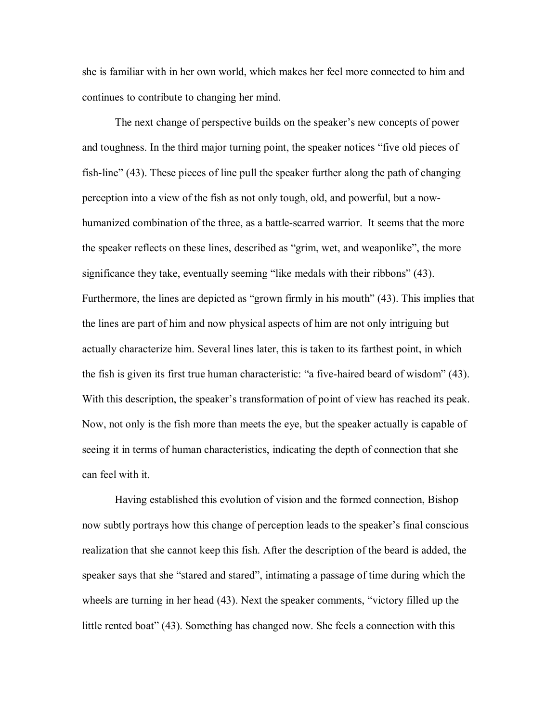she is familiar with in her own world, which makes her feel more connected to him and continues to contribute to changing her mind.

The next change of perspective builds on the speaker's new concepts of power and toughness. In the third major turning point, the speaker notices "five old pieces of fish-line"  $(43)$ . These pieces of line pull the speaker further along the path of changing perception into a view of the fish as not only tough, old, and powerful, but a now humanized combination of the three, as a battle-scarred warrior. It seems that the more the speaker reflects on these lines, described as "grim, wet, and weaponlike", the more significance they take, eventually seeming "like medals with their ribbons" (43). Furthermore, the lines are depicted as "grown firmly in his mouth" (43). This implies that the lines are part of him and now physical aspects of him are not only intriguing but actually characterize him. Several lines later, this is taken to its farthest point, in which the fish is given its first true human characteristic: "a five-haired beard of wisdom" (43). With this description, the speaker's transformation of point of view has reached its peak. Now, not only is the fish more than meets the eye, but the speaker actually is capable of seeing it in terms of human characteristics, indicating the depth of connection that she can feel with it.

Having established this evolution of vision and the formed connection, Bishop now subtly portrays how this change of perception leads to the speaker's final conscious realization that she cannot keep this fish. After the description of the beard is added, the speaker says that she "stared and stared", intimating a passage of time during which the wheels are turning in her head (43). Next the speaker comments, "victory filled up the little rented boat" (43). Something has changed now. She feels a connection with this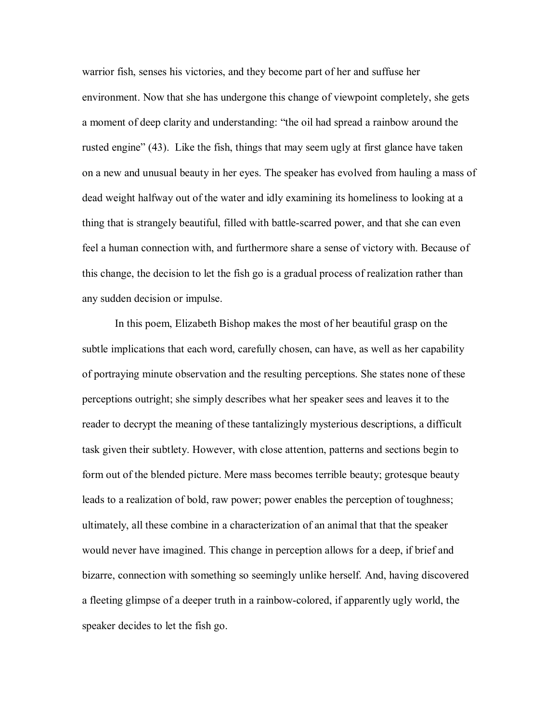warrior fish, senses his victories, and they become part of her and suffuse her environment. Now that she has undergone this change of viewpoint completely, she gets a moment of deep clarity and understanding: "the oil had spread a rainbow around the rusted engine" (43). Like the fish, things that may seem ugly at first glance have taken on a new and unusual beauty in her eyes. The speaker has evolved from hauling a mass of dead weight halfway out of the water and idly examining its homeliness to looking at a thing that is strangely beautiful, filled with battle-scarred power, and that she can even feel a human connection with, and furthermore share a sense of victory with. Because of this change, the decision to let the fish go is a gradual process of realization rather than any sudden decision or impulse.

In this poem, Elizabeth Bishop makes the most of her beautiful grasp on the subtle implications that each word, carefully chosen, can have, as well as her capability of portraying minute observation and the resulting perceptions. She states none of these perceptions outright; she simply describes what her speaker sees and leaves it to the reader to decrypt the meaning of these tantalizingly mysterious descriptions, a difficult task given their subtlety. However, with close attention, patterns and sections begin to form out of the blended picture. Mere mass becomes terrible beauty; grotesque beauty leads to a realization of bold, raw power; power enables the perception of toughness; ultimately, all these combine in a characterization of an animal that that the speaker would never have imagined. This change in perception allows for a deep, if brief and bizarre, connection with something so seemingly unlike herself. And, having discovered a fleeting glimpse of a deeper truth in a rainbow-colored, if apparently ugly world, the speaker decides to let the fish go.